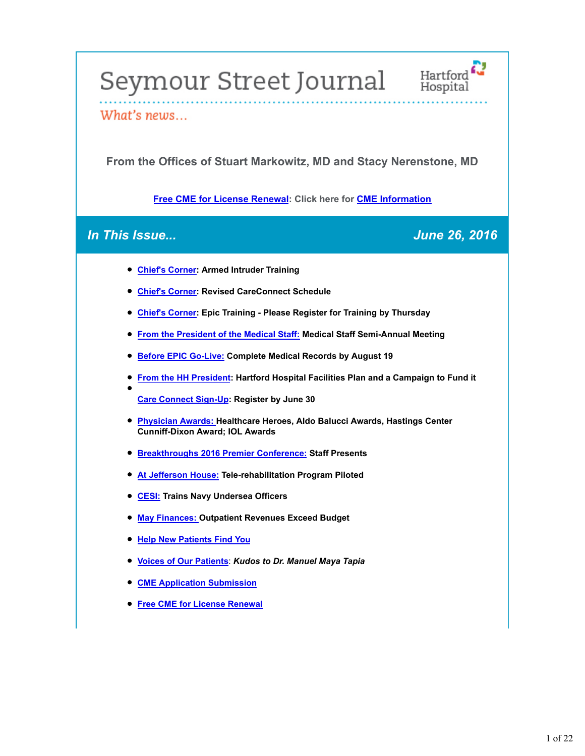# Seymour Street Journal Hartford



# What's news...

**From the Offices of Stuart Markowitz, MD and Stacy Nerenstone, MD**

**Free CME for License Renewal: Click here for CME Information**

# *In This Issue... June 26, 2016*

- **Chief's Corner: Armed Intruder Training**
- **Chief's Corner: Revised CareConnect Schedule**
- **Chief's Corner: Epic Training Please Register for Training by Thursday**
- **From the President of the Medical Staff: Medical Staff Semi-Annual Meeting**
- **Before EPIC Go-Live: Complete Medical Records by August 19**
- **From the HH President: Hartford Hospital Facilities Plan and a Campaign to Fund it**

**Care Connect Sign-Up: Register by June 30**

- **Physician Awards: Healthcare Heroes, Aldo Balucci Awards, Hastings Center Cunniff-Dixon Award; IOL Awards**
- **Breakthroughs 2016 Premier Conference: Staff Presents**
- **At Jefferson House: Tele-rehabilitation Program Piloted**
- **CESI: Trains Navy Undersea Officers**
- **May Finances: Outpatient Revenues Exceed Budget**
- **Help New Patients Find You**
- **Voices of Our Patients**: *Kudos to Dr. Manuel Maya Tapia*
- **CME Application Submission**
- **Free CME for License Renewal**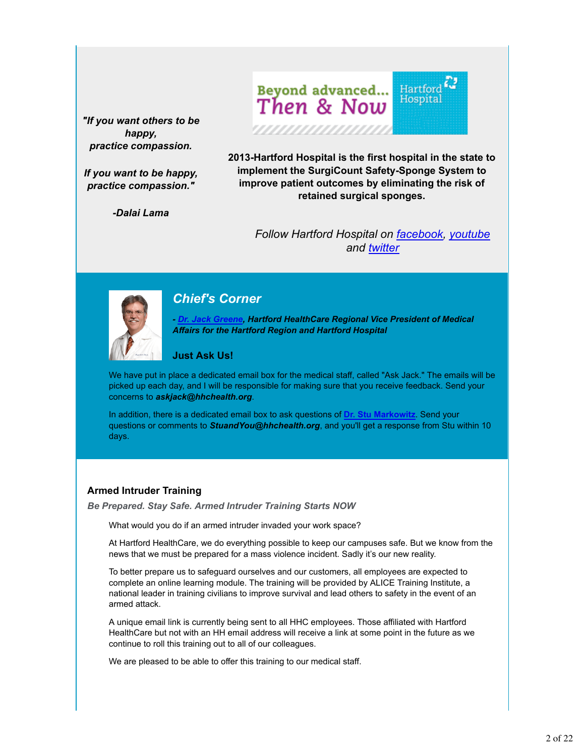*"If you want others to be happy, practice compassion.*

*If you want to be happy, practice compassion."*

*-Dalai Lama*

 ${\rm Hartford} \begin{picture}(120,115) \put(0,0){\vector(1,0){15}} \put(15,0){\vector(1,0){15}} \put(15,0){\vector(1,0){15}} \put(15,0){\vector(1,0){15}} \put(15,0){\vector(1,0){15}} \put(15,0){\vector(1,0){15}} \put(15,0){\vector(1,0){15}} \put(15,0){\vector(1,0){15}} \put(15,0){\vector(1,0){15}} \put(15,0){\vector(1,0){15}} \put(15,0){\vector(1,0){15}} \put(15$ Beyond advanced...<br>Then & Now

,,,,,,,,,,,,,,,

**2013-Hartford Hospital is the first hospital in the state to implement the SurgiCount Safety-Sponge System to improve patient outcomes by eliminating the risk of retained surgical sponges.**

*Follow Hartford Hospital on facebook, youtube and twitter*



# *Chief's Corner*

*- Dr. Jack Greene, Hartford HealthCare Regional Vice President of Medical Affairs for the Hartford Region and Hartford Hospital*

#### **Just Ask Us!**

We have put in place a dedicated email box for the medical staff, called "Ask Jack." The emails will be picked up each day, and I will be responsible for making sure that you receive feedback. Send your concerns to *askjack@hhchealth.org*.

In addition, there is a dedicated email box to ask questions of **Dr. Stu Markowitz**. Send your questions or comments to *StuandYou@hhchealth.org*, and you'll get a response from Stu within 10 days.

#### **Armed Intruder Training**

*Be Prepared. Stay Safe. Armed Intruder Training Starts NOW*

What would you do if an armed intruder invaded your work space?

At Hartford HealthCare, we do everything possible to keep our campuses safe. But we know from the news that we must be prepared for a mass violence incident. Sadly it's our new reality.

To better prepare us to safeguard ourselves and our customers, all employees are expected to complete an online learning module. The training will be provided by ALICE Training Institute, a national leader in training civilians to improve survival and lead others to safety in the event of an armed attack.

A unique email link is currently being sent to all HHC employees. Those affiliated with Hartford HealthCare but not with an HH email address will receive a link at some point in the future as we continue to roll this training out to all of our colleagues.

We are pleased to be able to offer this training to our medical staff.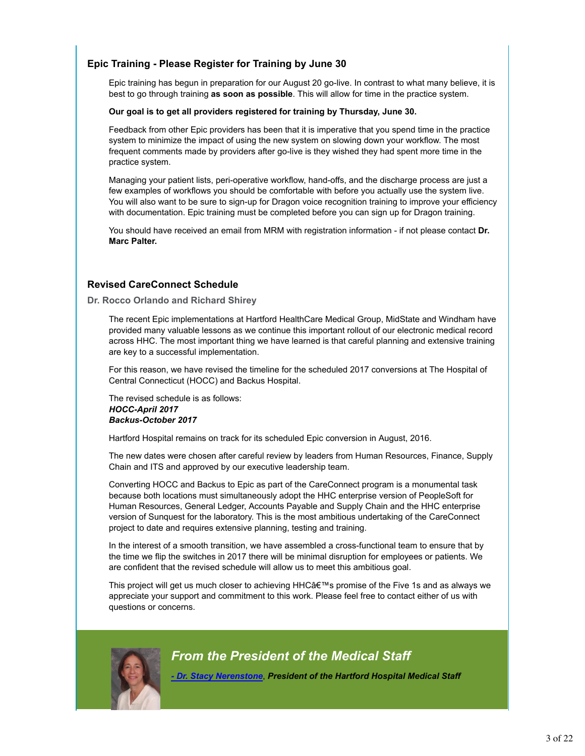# **Epic Training - Please Register for Training by June 30**

Epic training has begun in preparation for our August 20 go-live. In contrast to what many believe, it is best to go through training **as soon as possible**. This will allow for time in the practice system.

#### **Our goal is to get all providers registered for training by Thursday, June 30.**

Feedback from other Epic providers has been that it is imperative that you spend time in the practice system to minimize the impact of using the new system on slowing down your workflow. The most frequent comments made by providers after go-live is they wished they had spent more time in the practice system.

Managing your patient lists, peri-operative workflow, hand-offs, and the discharge process are just a few examples of workflows you should be comfortable with before you actually use the system live. You will also want to be sure to sign-up for Dragon voice recognition training to improve your efficiency with documentation. Epic training must be completed before you can sign up for Dragon training.

You should have received an email from MRM with registration information - if not please contact **Dr. Marc Palter.**

# **Revised CareConnect Schedule**

**Dr. Rocco Orlando and Richard Shirey**

The recent Epic implementations at Hartford HealthCare Medical Group, MidState and Windham have provided many valuable lessons as we continue this important rollout of our electronic medical record across HHC. The most important thing we have learned is that careful planning and extensive training are key to a successful implementation.

For this reason, we have revised the timeline for the scheduled 2017 conversions at The Hospital of Central Connecticut (HOCC) and Backus Hospital.

The revised schedule is as follows: *HOCC-April 2017 Backus-October 2017*

Hartford Hospital remains on track for its scheduled Epic conversion in August, 2016.

The new dates were chosen after careful review by leaders from Human Resources, Finance, Supply Chain and ITS and approved by our executive leadership team.

Converting HOCC and Backus to Epic as part of the CareConnect program is a monumental task because both locations must simultaneously adopt the HHC enterprise version of PeopleSoft for Human Resources, General Ledger, Accounts Payable and Supply Chain and the HHC enterprise version of Sunquest for the laboratory. This is the most ambitious undertaking of the CareConnect project to date and requires extensive planning, testing and training.

In the interest of a smooth transition, we have assembled a cross-functional team to ensure that by the time we flip the switches in 2017 there will be minimal disruption for employees or patients. We are confident that the revised schedule will allow us to meet this ambitious goal.

This project will get us much closer to achieving HHCâ€™s promise of the Five 1s and as always we appreciate your support and commitment to this work. Please feel free to contact either of us with questions or concerns.



# *From the President of the Medical Staff*

*- Dr. Stacy Nerenstone*, *President of the Hartford Hospital Medical Staff*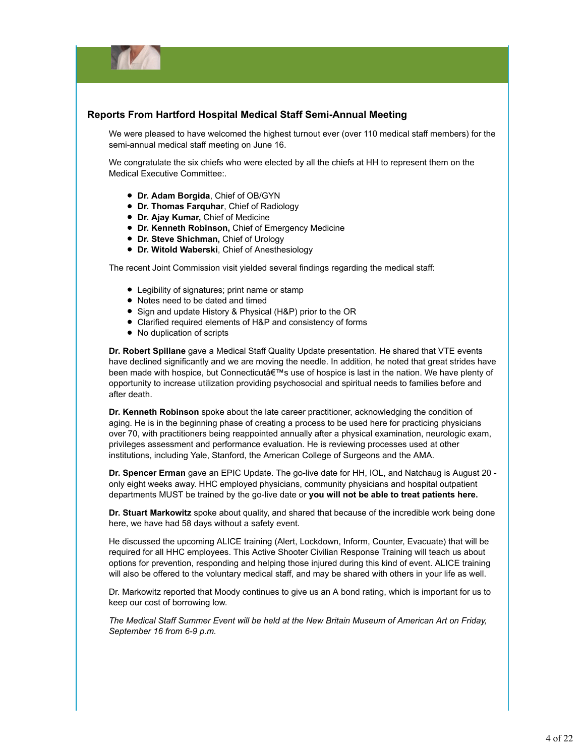

# **Reports From Hartford Hospital Medical Staff Semi-Annual Meeting**

We were pleased to have welcomed the highest turnout ever (over 110 medical staff members) for the semi-annual medical staff meeting on June 16.

We congratulate the six chiefs who were elected by all the chiefs at HH to represent them on the Medical Executive Committee:.

- **Dr. Adam Borgida**, Chief of OB/GYN
- **Dr. Thomas Farquhar**, Chief of Radiology
- **Dr. Ajay Kumar,** Chief of Medicine
- **Dr. Kenneth Robinson,** Chief of Emergency Medicine
- **Dr. Steve Shichman,** Chief of Urology
- **Dr. Witold Waberski**, Chief of Anesthesiology

The recent Joint Commission visit yielded several findings regarding the medical staff:

- Legibility of signatures; print name or stamp
- Notes need to be dated and timed
- Sign and update History & Physical (H&P) prior to the OR
- Clarified required elements of H&P and consistency of forms
- No duplication of scripts

**Dr. Robert Spillane** gave a Medical Staff Quality Update presentation. He shared that VTE events have declined significantly and we are moving the needle. In addition, he noted that great strides have been made with hospice, but Connecticutâ€™s use of hospice is last in the nation. We have plenty of opportunity to increase utilization providing psychosocial and spiritual needs to families before and after death.

**Dr. Kenneth Robinson** spoke about the late career practitioner, acknowledging the condition of aging. He is in the beginning phase of creating a process to be used here for practicing physicians over 70, with practitioners being reappointed annually after a physical examination, neurologic exam, privileges assessment and performance evaluation. He is reviewing processes used at other institutions, including Yale, Stanford, the American College of Surgeons and the AMA.

**Dr. Spencer Erman** gave an EPIC Update. The go-live date for HH, IOL, and Natchaug is August 20 only eight weeks away. HHC employed physicians, community physicians and hospital outpatient departments MUST be trained by the go-live date or **you will not be able to treat patients here.**

**Dr. Stuart Markowitz** spoke about quality, and shared that because of the incredible work being done here, we have had 58 days without a safety event.

He discussed the upcoming ALICE training (Alert, Lockdown, Inform, Counter, Evacuate) that will be required for all HHC employees. This Active Shooter Civilian Response Training will teach us about options for prevention, responding and helping those injured during this kind of event. ALICE training will also be offered to the voluntary medical staff, and may be shared with others in your life as well.

Dr. Markowitz reported that Moody continues to give us an A bond rating, which is important for us to keep our cost of borrowing low.

*The Medical Staff Summer Event will be held at the New Britain Museum of American Art on Friday, September 16 from 6-9 p.m.*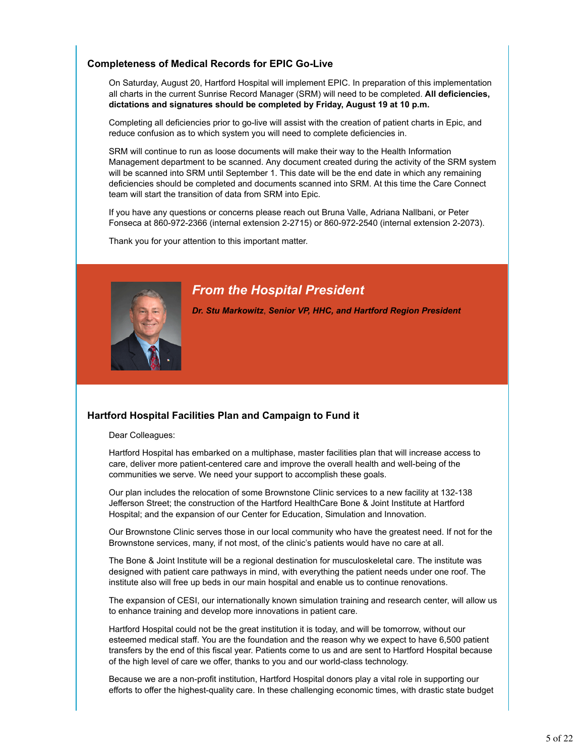# **Completeness of Medical Records for EPIC Go-Live**

On Saturday, August 20, Hartford Hospital will implement EPIC. In preparation of this implementation all charts in the current Sunrise Record Manager (SRM) will need to be completed. **All deficiencies, dictations and signatures should be completed by Friday, August 19 at 10 p.m.**

Completing all deficiencies prior to go-live will assist with the creation of patient charts in Epic, and reduce confusion as to which system you will need to complete deficiencies in.

SRM will continue to run as loose documents will make their way to the Health Information Management department to be scanned. Any document created during the activity of the SRM system will be scanned into SRM until September 1. This date will be the end date in which any remaining deficiencies should be completed and documents scanned into SRM. At this time the Care Connect team will start the transition of data from SRM into Epic.

If you have any questions or concerns please reach out Bruna Valle, Adriana Nallbani, or Peter Fonseca at 860-972-2366 (internal extension 2-2715) or 860-972-2540 (internal extension 2-2073).

Thank you for your attention to this important matter.



# *From the Hospital President*

*Dr. Stu Markowitz*, *Senior VP, HHC, and Hartford Region President*

# **Hartford Hospital Facilities Plan and Campaign to Fund it**

Dear Colleagues:

Hartford Hospital has embarked on a multiphase, master facilities plan that will increase access to care, deliver more patient-centered care and improve the overall health and well-being of the communities we serve. We need your support to accomplish these goals.

Our plan includes the relocation of some Brownstone Clinic services to a new facility at 132-138 Jefferson Street; the construction of the Hartford HealthCare Bone & Joint Institute at Hartford Hospital; and the expansion of our Center for Education, Simulation and Innovation.

Our Brownstone Clinic serves those in our local community who have the greatest need. If not for the Brownstone services, many, if not most, of the clinic's patients would have no care at all.

The Bone & Joint Institute will be a regional destination for musculoskeletal care. The institute was designed with patient care pathways in mind, with everything the patient needs under one roof. The institute also will free up beds in our main hospital and enable us to continue renovations.

The expansion of CESI, our internationally known simulation training and research center, will allow us to enhance training and develop more innovations in patient care.

Hartford Hospital could not be the great institution it is today, and will be tomorrow, without our esteemed medical staff. You are the foundation and the reason why we expect to have 6,500 patient transfers by the end of this fiscal year. Patients come to us and are sent to Hartford Hospital because of the high level of care we offer, thanks to you and our world-class technology.

Because we are a non-profit institution, Hartford Hospital donors play a vital role in supporting our efforts to offer the highest-quality care. In these challenging economic times, with drastic state budget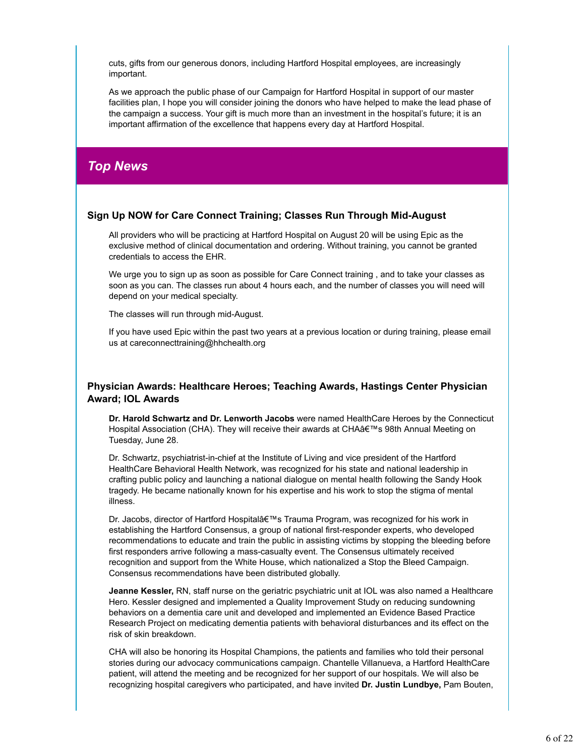cuts, gifts from our generous donors, including Hartford Hospital employees, are increasingly important.

As we approach the public phase of our Campaign for Hartford Hospital in support of our master facilities plan, I hope you will consider joining the donors who have helped to make the lead phase of the campaign a success. Your gift is much more than an investment in the hospital's future; it is an important affirmation of the excellence that happens every day at Hartford Hospital.

# *Top News*

# **Sign Up NOW for Care Connect Training; Classes Run Through Mid-August**

All providers who will be practicing at Hartford Hospital on August 20 will be using Epic as the exclusive method of clinical documentation and ordering. Without training, you cannot be granted credentials to access the EHR.

We urge you to sign up as soon as possible for Care Connect training, and to take your classes as soon as you can. The classes run about 4 hours each, and the number of classes you will need will depend on your medical specialty.

The classes will run through mid-August.

If you have used Epic within the past two years at a previous location or during training, please email us at careconnecttraining@hhchealth.org

# **Physician Awards: Healthcare Heroes; Teaching Awards, Hastings Center Physician Award; IOL Awards**

**Dr. Harold Schwartz and Dr. Lenworth Jacobs** were named HealthCare Heroes by the Connecticut Hospital Association (CHA). They will receive their awards at CHAâ€™s 98th Annual Meeting on Tuesday, June 28.

Dr. Schwartz, psychiatrist-in-chief at the Institute of Living and vice president of the Hartford HealthCare Behavioral Health Network, was recognized for his state and national leadership in crafting public policy and launching a national dialogue on mental health following the Sandy Hook tragedy. He became nationally known for his expertise and his work to stop the stigma of mental illness.

Dr. Jacobs, director of Hartford Hospitalâ€™s Trauma Program, was recognized for his work in establishing the Hartford Consensus, a group of national first-responder experts, who developed recommendations to educate and train the public in assisting victims by stopping the bleeding before first responders arrive following a mass-casualty event. The Consensus ultimately received recognition and support from the White House, which nationalized a Stop the Bleed Campaign. Consensus recommendations have been distributed globally.

**Jeanne Kessler,** RN, staff nurse on the geriatric psychiatric unit at IOL was also named a Healthcare Hero. Kessler designed and implemented a Quality Improvement Study on reducing sundowning behaviors on a dementia care unit and developed and implemented an Evidence Based Practice Research Project on medicating dementia patients with behavioral disturbances and its effect on the risk of skin breakdown.

CHA will also be honoring its Hospital Champions, the patients and families who told their personal stories during our advocacy communications campaign. Chantelle Villanueva, a Hartford HealthCare patient, will attend the meeting and be recognized for her support of our hospitals. We will also be recognizing hospital caregivers who participated, and have invited **Dr. Justin Lundbye,** Pam Bouten,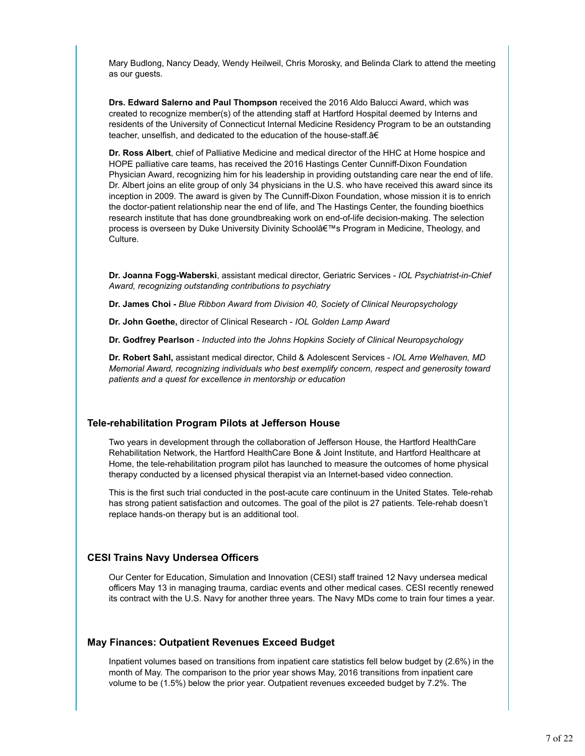Mary Budlong, Nancy Deady, Wendy Heilweil, Chris Morosky, and Belinda Clark to attend the meeting as our guests.

**Drs. Edward Salerno and Paul Thompson** received the 2016 Aldo Balucci Award, which was created to recognize member(s) of the attending staff at Hartford Hospital deemed by Interns and residents of the University of Connecticut Internal Medicine Residency Program to be an outstanding teacher, unselfish, and dedicated to the education of the house-staff.â€

**Dr. Ross Albert**, chief of Palliative Medicine and medical director of the HHC at Home hospice and HOPE palliative care teams, has received the 2016 Hastings Center Cunniff-Dixon Foundation Physician Award, recognizing him for his leadership in providing outstanding care near the end of life. Dr. Albert joins an elite group of only 34 physicians in the U.S. who have received this award since its inception in 2009. The award is given by The Cunniff-Dixon Foundation, whose mission it is to enrich the doctor-patient relationship near the end of life, and The Hastings Center, the founding bioethics research institute that has done groundbreaking work on end-of-life decision-making. The selection process is overseen by Duke University Divinity Schoolâ€™s Program in Medicine, Theology, and Culture.

**Dr. Joanna Fogg-Waberski**, assistant medical director, Geriatric Services - *IOL Psychiatrist-in-Chief Award, recognizing outstanding contributions to psychiatry*

**Dr. James Choi -** *Blue Ribbon Award from Division 40, Society of Clinical Neuropsychology*

**Dr. John Goethe,** director of Clinical Research - *IOL Golden Lamp Award*

**Dr. Godfrey Pearlson** - *Inducted into the Johns Hopkins Society of Clinical Neuropsychology*

**Dr. Robert Sahl,** assistant medical director, Child & Adolescent Services - *IOL Arne Welhaven, MD Memorial Award, recognizing individuals who best exemplify concern, respect and generosity toward patients and a quest for excellence in mentorship or education*

# **Tele-rehabilitation Program Pilots at Jefferson House**

Two years in development through the collaboration of Jefferson House, the Hartford HealthCare Rehabilitation Network, the Hartford HealthCare Bone & Joint Institute, and Hartford Healthcare at Home, the tele-rehabilitation program pilot has launched to measure the outcomes of home physical therapy conducted by a licensed physical therapist via an Internet-based video connection.

This is the first such trial conducted in the post-acute care continuum in the United States. Tele-rehab has strong patient satisfaction and outcomes. The goal of the pilot is 27 patients. Tele-rehab doesn't replace hands-on therapy but is an additional tool.

# **CESI Trains Navy Undersea Officers**

Our Center for Education, Simulation and Innovation (CESI) staff trained 12 Navy undersea medical officers May 13 in managing trauma, cardiac events and other medical cases. CESI recently renewed its contract with the U.S. Navy for another three years. The Navy MDs come to train four times a year.

# **May Finances: Outpatient Revenues Exceed Budget**

Inpatient volumes based on transitions from inpatient care statistics fell below budget by (2.6%) in the month of May. The comparison to the prior year shows May, 2016 transitions from inpatient care volume to be (1.5%) below the prior year. Outpatient revenues exceeded budget by 7.2%. The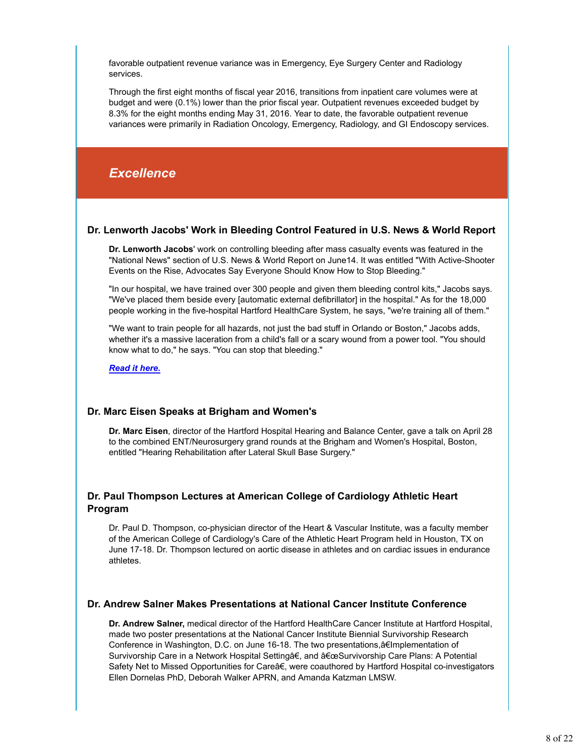favorable outpatient revenue variance was in Emergency, Eye Surgery Center and Radiology services.

Through the first eight months of fiscal year 2016, transitions from inpatient care volumes were at budget and were (0.1%) lower than the prior fiscal year. Outpatient revenues exceeded budget by 8.3% for the eight months ending May 31, 2016. Year to date, the favorable outpatient revenue variances were primarily in Radiation Oncology, Emergency, Radiology, and GI Endoscopy services.

# *Excellence*

# **Dr. Lenworth Jacobs' Work in Bleeding Control Featured in U.S. News & World Report**

**Dr. Lenworth Jacobs**' work on controlling bleeding after mass casualty events was featured in the "National News" section of U.S. News & World Report on June14. It was entitled "With Active-Shooter Events on the Rise, Advocates Say Everyone Should Know How to Stop Bleeding."

"In our hospital, we have trained over 300 people and given them bleeding control kits," Jacobs says. "We've placed them beside every [automatic external defibrillator] in the hospital." As for the 18,000 people working in the five-hospital Hartford HealthCare System, he says, "we're training all of them."

"We want to train people for all hazards, not just the bad stuff in Orlando or Boston," Jacobs adds, whether it's a massive laceration from a child's fall or a scary wound from a power tool. "You should know what to do," he says. "You can stop that bleeding."

*Read it here.*

# **Dr. Marc Eisen Speaks at Brigham and Women's**

**Dr. Marc Eisen**, director of the Hartford Hospital Hearing and Balance Center, gave a talk on April 28 to the combined ENT/Neurosurgery grand rounds at the Brigham and Women's Hospital, Boston, entitled "Hearing Rehabilitation after Lateral Skull Base Surgery."

# **Dr. Paul Thompson Lectures at American College of Cardiology Athletic Heart Program**

Dr. Paul D. Thompson, co-physician director of the Heart & Vascular Institute, was a faculty member of the American College of Cardiology's Care of the Athletic Heart Program held in Houston, TX on June 17-18. Dr. Thompson lectured on aortic disease in athletes and on cardiac issues in endurance athletes.

# **Dr. Andrew Salner Makes Presentations at National Cancer Institute Conference**

**Dr. Andrew Salner,** medical director of the Hartford HealthCare Cancer Institute at Hartford Hospital, made two poster presentations at the National Cancer Institute Biennial Survivorship Research Conference in Washington, D.C. on June 16-18. The two presentations, a€Implementation of Survivorship Care in a Network Hospital Settingâ€, and â€œSurvivorship Care Plans: A Potential Safety Net to Missed Opportunities for Careâ€, were coauthored by Hartford Hospital co-investigators Ellen Dornelas PhD, Deborah Walker APRN, and Amanda Katzman LMSW.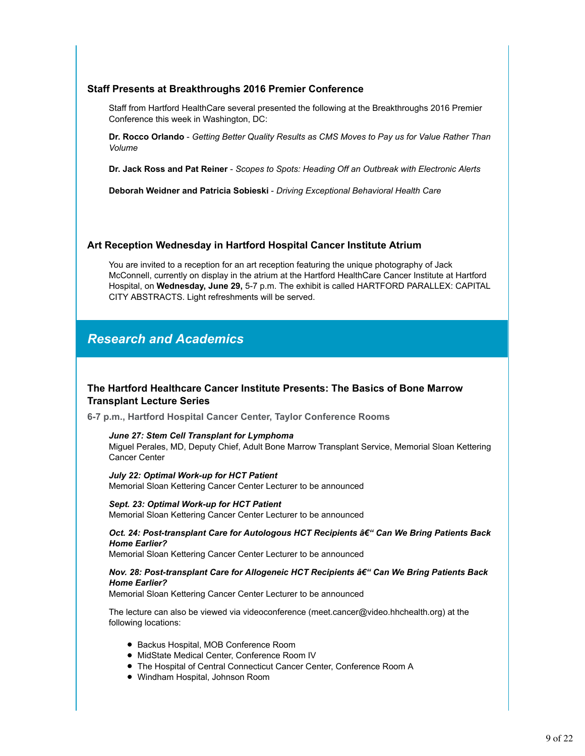# **Staff Presents at Breakthroughs 2016 Premier Conference**

Staff from Hartford HealthCare several presented the following at the Breakthroughs 2016 Premier Conference this week in Washington, DC:

**Dr. Rocco Orlando** - *Getting Better Quality Results as CMS Moves to Pay us for Value Rather Than Volume*

**Dr. Jack Ross and Pat Reiner** - *Scopes to Spots: Heading Off an Outbreak with Electronic Alerts*

**Deborah Weidner and Patricia Sobieski** - *Driving Exceptional Behavioral Health Care*

# **Art Reception Wednesday in Hartford Hospital Cancer Institute Atrium**

You are invited to a reception for an art reception featuring the unique photography of Jack McConnell, currently on display in the atrium at the Hartford HealthCare Cancer Institute at Hartford Hospital, on **Wednesday, June 29,** 5-7 p.m. The exhibit is called HARTFORD PARALLEX: CAPITAL CITY ABSTRACTS. Light refreshments will be served.

# *Research and Academics*

# **The Hartford Healthcare Cancer Institute Presents: The Basics of Bone Marrow Transplant Lecture Series**

**6-7 p.m., Hartford Hospital Cancer Center, Taylor Conference Rooms**

*June 27: Stem Cell Transplant for Lymphoma*

Miguel Perales, MD, Deputy Chief, Adult Bone Marrow Transplant Service, Memorial Sloan Kettering Cancer Center

*July 22: Optimal Work-up for HCT Patient* Memorial Sloan Kettering Cancer Center Lecturer to be announced

*Sept. 23: Optimal Work-up for HCT Patient* Memorial Sloan Kettering Cancer Center Lecturer to be announced

*Oct. 24: Post-transplant Care for Autologous HCT Recipients â€" Can We Bring Patients Back Home Earlier?*

Memorial Sloan Kettering Cancer Center Lecturer to be announced

#### *Nov. 28: Post-transplant Care for Allogeneic HCT Recipients â€" Can We Bring Patients Back Home Earlier?*

Memorial Sloan Kettering Cancer Center Lecturer to be announced

The lecture can also be viewed via videoconference (meet.cancer@video.hhchealth.org) at the following locations:

- Backus Hospital, MOB Conference Room
- MidState Medical Center, Conference Room IV
- The Hospital of Central Connecticut Cancer Center, Conference Room A
- Windham Hospital, Johnson Room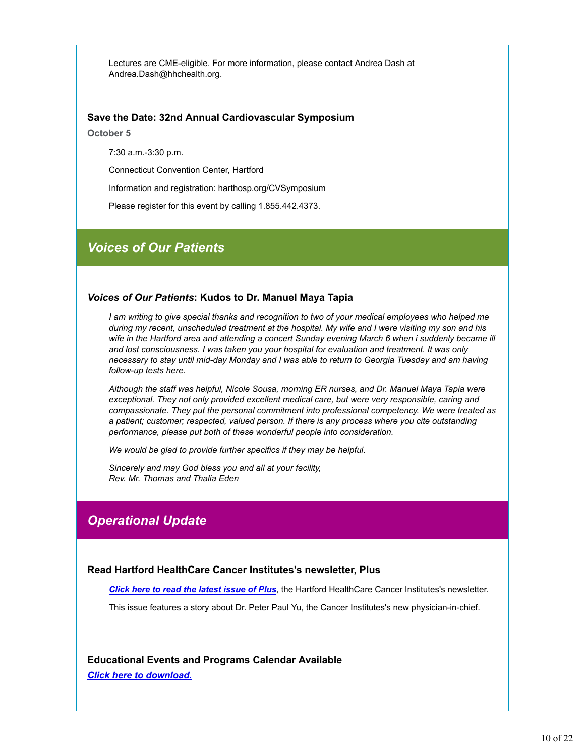Lectures are CME-eligible. For more information, please contact Andrea Dash at Andrea.Dash@hhchealth.org.

#### **Save the Date: 32nd Annual Cardiovascular Symposium**

**October 5**

7:30 a.m.-3:30 p.m.

Connecticut Convention Center, Hartford

Information and registration: harthosp.org/CVSymposium

Please register for this event by calling 1.855.442.4373.

# *Voices of Our Patients*

#### *Voices of Our Patients***: Kudos to Dr. Manuel Maya Tapia**

*I am writing to give special thanks and recognition to two of your medical employees who helped me during my recent, unscheduled treatment at the hospital. My wife and I were visiting my son and his wife in the Hartford area and attending a concert Sunday evening March 6 when i suddenly became ill and lost consciousness. I was taken you your hospital for evaluation and treatment. It was only necessary to stay until mid-day Monday and I was able to return to Georgia Tuesday and am having follow-up tests here.*

*Although the staff was helpful, Nicole Sousa, morning ER nurses, and Dr. Manuel Maya Tapia were exceptional. They not only provided excellent medical care, but were very responsible, caring and compassionate. They put the personal commitment into professional competency. We were treated as a patient; customer; respected, valued person. If there is any process where you cite outstanding performance, please put both of these wonderful people into consideration.*

*We would be glad to provide further specifics if they may be helpful.*

*Sincerely and may God bless you and all at your facility, Rev. Mr. Thomas and Thalia Eden*

# *Operational Update*

#### **Read Hartford HealthCare Cancer Institutes's newsletter, Plus**

*Click here to read the latest issue of Plus*, the Hartford HealthCare Cancer Institutes's newsletter.

This issue features a story about Dr. Peter Paul Yu, the Cancer Institutes's new physician-in-chief.

**Educational Events and Programs Calendar Available** *Click here to download.*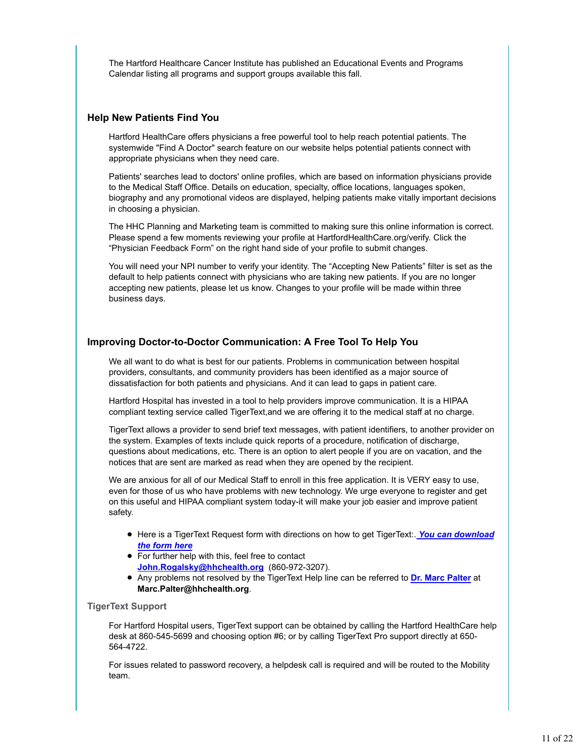The Hartford Healthcare Cancer Institute has published an Educational Events and Programs Calendar listing all programs and support groups available this fall.

# **Help New Patients Find You**

Hartford HealthCare offers physicians a free powerful tool to help reach potential patients. The systemwide "Find A Doctor" search feature on our website helps potential patients connect with appropriate physicians when they need care.

Patients' searches lead to doctors' online profiles, which are based on information physicians provide to the Medical Staff Office. Details on education, specialty, office locations, languages spoken, biography and any promotional videos are displayed, helping patients make vitally important decisions in choosing a physician.

The HHC Planning and Marketing team is committed to making sure this online information is correct. Please spend a few moments reviewing your profile at HartfordHealthCare.org/verify. Click the "Physician Feedback Form" on the right hand side of your profile to submit changes.

You will need your NPI number to verify your identity. The "Accepting New Patients" filter is set as the default to help patients connect with physicians who are taking new patients. If you are no longer accepting new patients, please let us know. Changes to your profile will be made within three business days.

# **Improving Doctor-to-Doctor Communication: A Free Tool To Help You**

We all want to do what is best for our patients. Problems in communication between hospital providers, consultants, and community providers has been identified as a major source of dissatisfaction for both patients and physicians. And it can lead to gaps in patient care.

Hartford Hospital has invested in a tool to help providers improve communication. It is a HIPAA compliant texting service called TigerText,and we are offering it to the medical staff at no charge.

TigerText allows a provider to send brief text messages, with patient identifiers, to another provider on the system. Examples of texts include quick reports of a procedure, notification of discharge, questions about medications, etc. There is an option to alert people if you are on vacation, and the notices that are sent are marked as read when they are opened by the recipient.

We are anxious for all of our Medical Staff to enroll in this free application. It is VERY easy to use, even for those of us who have problems with new technology. We urge everyone to register and get on this useful and HIPAA compliant system today-it will make your job easier and improve patient safety.

- Here is a TigerText Request form with directions on how to get TigerText:. *You can download the form here*
- For further help with this, feel free to contact **John.Rogalsky@hhchealth.org** (860-972-3207).
- Any problems not resolved by the TigerText Help line can be referred to **Dr. Marc Palter** at **Marc.Palter@hhchealth.org**.

#### **TigerText Support**

For Hartford Hospital users, TigerText support can be obtained by calling the Hartford HealthCare help desk at 860-545-5699 and choosing option #6; or by calling TigerText Pro support directly at 650- 564-4722.

For issues related to password recovery, a helpdesk call is required and will be routed to the Mobility team.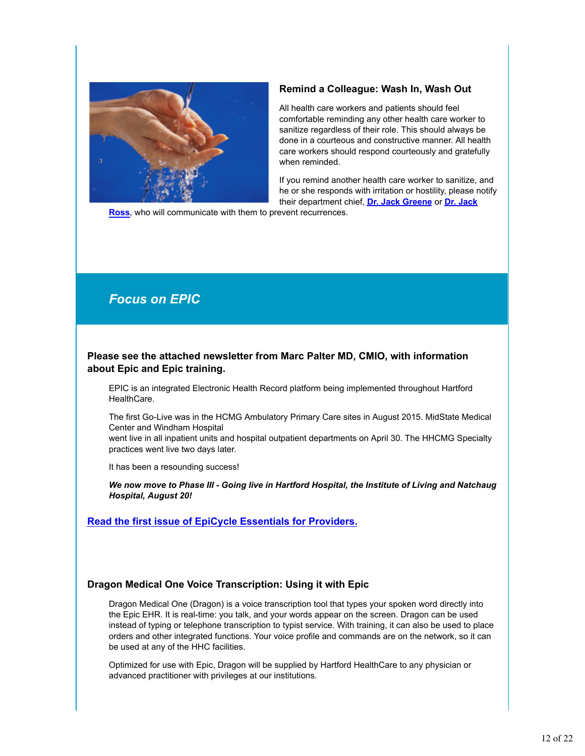

# **Remind a Colleague: Wash In, Wash Out**

All health care workers and patients should feel comfortable reminding any other health care worker to sanitize regardless of their role. This should always be done in a courteous and constructive manner. All health care workers should respond courteously and gratefully when reminded.

If you remind another health care worker to sanitize, and he or she responds with irritation or hostility, please notify their department chief, **Dr. Jack Greene** or **Dr. Jack**

**Ross**, who will communicate with them to prevent recurrences.

# *Focus on EPIC*

# **Please see the attached newsletter from Marc Palter MD, CMIO, with information about Epic and Epic training.**

EPIC is an integrated Electronic Health Record platform being implemented throughout Hartford HealthCare.

The first Go-Live was in the HCMG Ambulatory Primary Care sites in August 2015. MidState Medical Center and Windham Hospital

went live in all inpatient units and hospital outpatient departments on April 30. The HHCMG Specialty practices went live two days later.

It has been a resounding success!

*We now move to Phase III - Going live in Hartford Hospital, the Institute of Living and Natchaug Hospital, August 20!*

**Read the first issue of EpiCycle Essentials for Providers.**

# **Dragon Medical One Voice Transcription: Using it with Epic**

Dragon Medical One (Dragon) is a voice transcription tool that types your spoken word directly into the Epic EHR. It is real-time: you talk, and your words appear on the screen. Dragon can be used instead of typing or telephone transcription to typist service. With training, it can also be used to place orders and other integrated functions. Your voice profile and commands are on the network, so it can be used at any of the HHC facilities.

Optimized for use with Epic, Dragon will be supplied by Hartford HealthCare to any physician or advanced practitioner with privileges at our institutions.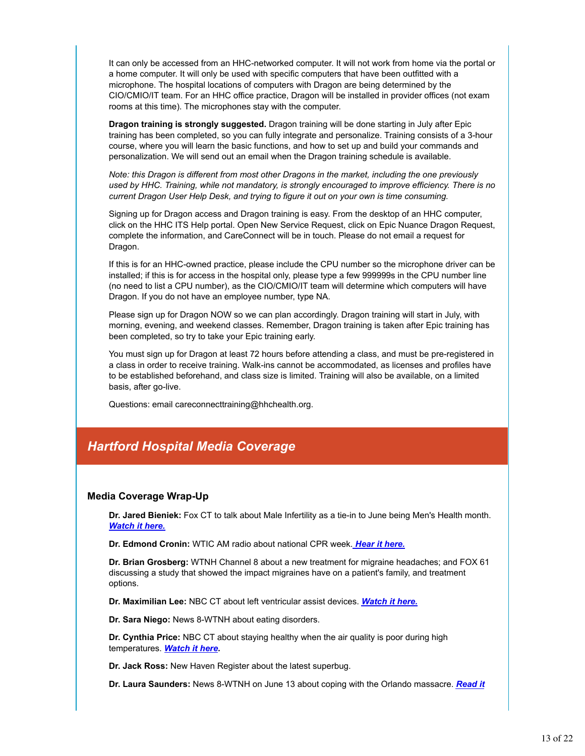It can only be accessed from an HHC-networked computer. It will not work from home via the portal or a home computer. It will only be used with specific computers that have been outfitted with a microphone. The hospital locations of computers with Dragon are being determined by the CIO/CMIO/IT team. For an HHC office practice, Dragon will be installed in provider offices (not exam rooms at this time). The microphones stay with the computer.

**Dragon training is strongly suggested.** Dragon training will be done starting in July after Epic training has been completed, so you can fully integrate and personalize. Training consists of a 3-hour course, where you will learn the basic functions, and how to set up and build your commands and personalization. We will send out an email when the Dragon training schedule is available.

*Note: this Dragon is different from most other Dragons in the market, including the one previously used by HHC. Training, while not mandatory, is strongly encouraged to improve efficiency. There is no current Dragon User Help Desk, and trying to figure it out on your own is time consuming.*

Signing up for Dragon access and Dragon training is easy. From the desktop of an HHC computer, click on the HHC ITS Help portal. Open New Service Request, click on Epic Nuance Dragon Request, complete the information, and CareConnect will be in touch. Please do not email a request for Dragon.

If this is for an HHC-owned practice, please include the CPU number so the microphone driver can be installed; if this is for access in the hospital only, please type a few 999999s in the CPU number line (no need to list a CPU number), as the CIO/CMIO/IT team will determine which computers will have Dragon. If you do not have an employee number, type NA.

Please sign up for Dragon NOW so we can plan accordingly. Dragon training will start in July, with morning, evening, and weekend classes. Remember, Dragon training is taken after Epic training has been completed, so try to take your Epic training early.

You must sign up for Dragon at least 72 hours before attending a class, and must be pre-registered in a class in order to receive training. Walk-ins cannot be accommodated, as licenses and profiles have to be established beforehand, and class size is limited. Training will also be available, on a limited basis, after go-live.

Questions: email careconnecttraining@hhchealth.org.

# *Hartford Hospital Media Coverage*

# **Media Coverage Wrap-Up**

**Dr. Jared Bieniek:** Fox CT to talk about Male Infertility as a tie-in to June being Men's Health month. *Watch it here.*

**Dr. Edmond Cronin:** WTIC AM radio about national CPR week. *Hear it here.*

**Dr. Brian Grosberg:** WTNH Channel 8 about a new treatment for migraine headaches; and FOX 61 discussing a study that showed the impact migraines have on a patient's family, and treatment options.

**Dr. Maximilian Lee:** NBC CT about left ventricular assist devices. *Watch it here.*

**Dr. Sara Niego:** News 8-WTNH about eating disorders.

**Dr. Cynthia Price:** NBC CT about staying healthy when the air quality is poor during high temperatures. *Watch it here.*

**Dr. Jack Ross:** New Haven Register about the latest superbug.

**Dr. Laura Saunders:** News 8-WTNH on June 13 about coping with the Orlando massacre. *Read it*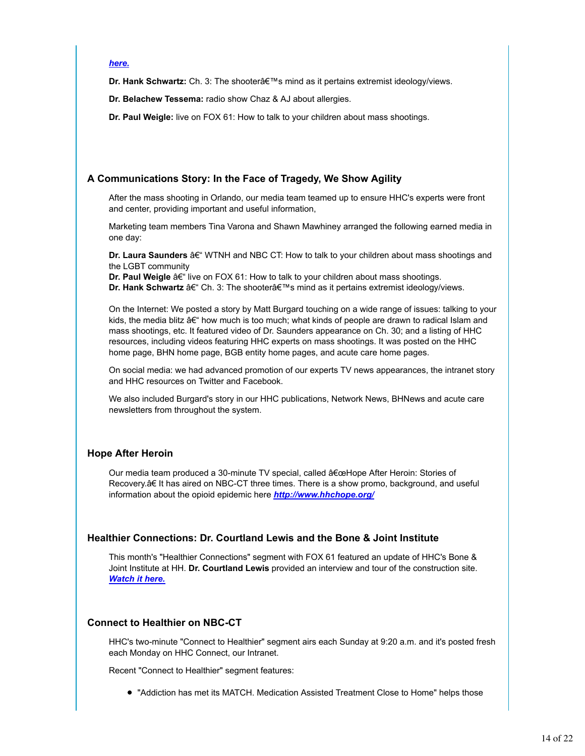#### *here.*

**Dr. Hank Schwartz:** Ch. 3: The shooterâ€™s mind as it pertains extremist ideology/views.

**Dr. Belachew Tessema:** radio show Chaz & AJ about allergies.

**Dr. Paul Weigle:** live on FOX 61: How to talk to your children about mass shootings.

# **A Communications Story: In the Face of Tragedy, We Show Agility**

After the mass shooting in Orlando, our media team teamed up to ensure HHC's experts were front and center, providing important and useful information,

Marketing team members Tina Varona and Shawn Mawhiney arranged the following earned media in one day:

**Dr. Laura Saunders** â€" WTNH and NBC CT: How to talk to your children about mass shootings and the LGBT community

**Dr. Paul Weigle â€**" live on FOX 61: How to talk to your children about mass shootings. **Dr. Hank Schwartz** â€" Ch. 3: The shooterâ€™s mind as it pertains extremist ideology/views.

On the Internet: We posted a story by Matt Burgard touching on a wide range of issues: talking to your kids, the media blitz â€" how much is too much; what kinds of people are drawn to radical Islam and mass shootings, etc. It featured video of Dr. Saunders appearance on Ch. 30; and a listing of HHC resources, including videos featuring HHC experts on mass shootings. It was posted on the HHC home page, BHN home page, BGB entity home pages, and acute care home pages.

On social media: we had advanced promotion of our experts TV news appearances, the intranet story and HHC resources on Twitter and Facebook.

We also included Burgard's story in our HHC publications, Network News, BHNews and acute care newsletters from throughout the system.

# **Hope After Heroin**

Our media team produced a 30-minute TV special, called â€œHope After Heroin: Stories of Recovery.â€ It has aired on NBC-CT three times. There is a show promo, background, and useful information about the opioid epidemic here *http://www.hhchope.org/*

# **Healthier Connections: Dr. Courtland Lewis and the Bone & Joint Institute**

This month's "Healthier Connections" segment with FOX 61 featured an update of HHC's Bone & Joint Institute at HH. **Dr. Courtland Lewis** provided an interview and tour of the construction site. *Watch it here.*

# **Connect to Healthier on NBC-CT**

HHC's two-minute "Connect to Healthier" segment airs each Sunday at 9:20 a.m. and it's posted fresh each Monday on HHC Connect, our Intranet.

Recent "Connect to Healthier" segment features:

"Addiction has met its MATCH. Medication Assisted Treatment Close to Home" helps those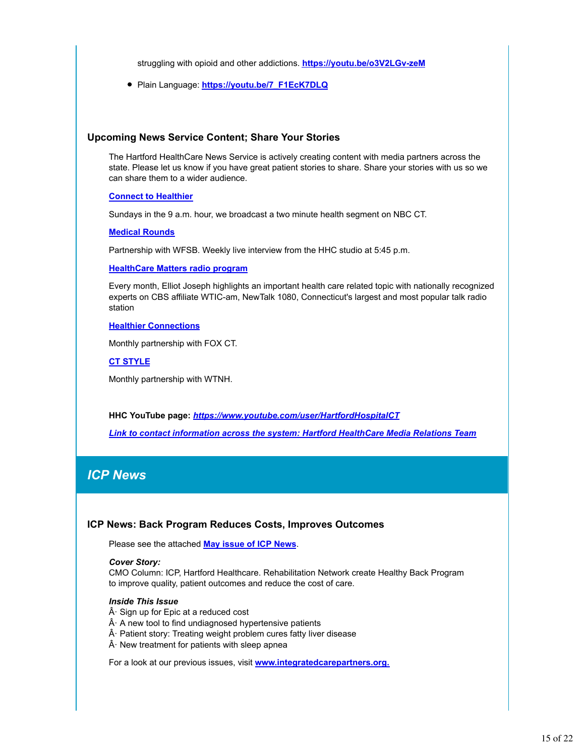struggling with opioid and other addictions. **https://youtu.be/o3V2LGv-zeM**

Plain Language: **https://youtu.be/7\_F1EcK7DLQ**

## **Upcoming News Service Content; Share Your Stories**

The Hartford HealthCare News Service is actively creating content with media partners across the state. Please let us know if you have great patient stories to share. Share your stories with us so we can share them to a wider audience.

#### **Connect to Healthier**

Sundays in the 9 a.m. hour, we broadcast a two minute health segment on NBC CT.

#### **Medical Rounds**

Partnership with WFSB. Weekly live interview from the HHC studio at 5:45 p.m.

#### **HealthCare Matters radio program**

Every month, Elliot Joseph highlights an important health care related topic with nationally recognized experts on CBS affiliate WTIC-am, NewTalk 1080, Connecticut's largest and most popular talk radio station

# **Healthier Connections**

Monthly partnership with FOX CT.

**CT STYLE**

Monthly partnership with WTNH.

**HHC YouTube page:** *https://www.youtube.com/user/HartfordHospitalCT*

*Link to contact information across the system: Hartford HealthCare Media Relations Team*

# *ICP News*

# **ICP News: Back Program Reduces Costs, Improves Outcomes**

Please see the attached **May issue of ICP News**.

#### *Cover Story:*

CMO Column: ICP, Hartford Healthcare. Rehabilitation Network create Healthy Back Program to improve quality, patient outcomes and reduce the cost of care.

#### *Inside This Issue*

 $\hat{A}$  Sign up for Epic at a reduced cost

- $\hat{A}$  A new tool to find undiagnosed hypertensive patients
- $\hat{A}$  Patient story: Treating weight problem cures fatty liver disease
- $\hat{A}$  New treatment for patients with sleep apnea

For a look at our previous issues, visit **www.integratedcarepartners.org.**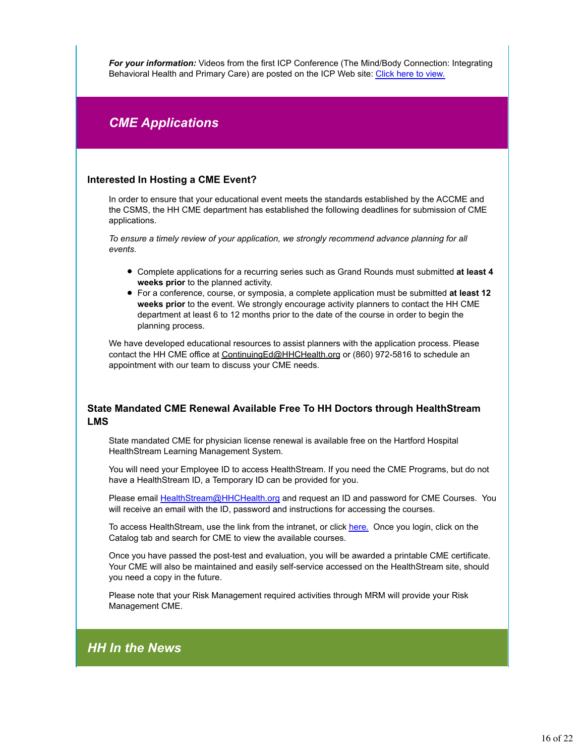*For your information:* Videos from the first ICP Conference (The Mind/Body Connection: Integrating Behavioral Health and Primary Care) are posted on the ICP Web site: Click here to view.

# *CME Applications*

# **Interested In Hosting a CME Event?**

In order to ensure that your educational event meets the standards established by the ACCME and the CSMS, the HH CME department has established the following deadlines for submission of CME applications.

*To ensure a timely review of your application, we strongly recommend advance planning for all events.* 

- Complete applications for a recurring series such as Grand Rounds must submitted **at least 4 weeks prior** to the planned activity.
- For a conference, course, or symposia, a complete application must be submitted **at least 12 weeks prior** to the event. We strongly encourage activity planners to contact the HH CME department at least 6 to 12 months prior to the date of the course in order to begin the planning process.

We have developed educational resources to assist planners with the application process. Please contact the HH CME office at ContinuingEd@HHCHealth.org or (860) 972-5816 to schedule an appointment with our team to discuss your CME needs.

# **State Mandated CME Renewal Available Free To HH Doctors through HealthStream LMS**

State mandated CME for physician license renewal is available free on the Hartford Hospital HealthStream Learning Management System.

You will need your Employee ID to access HealthStream. If you need the CME Programs, but do not have a HealthStream ID, a Temporary ID can be provided for you.

Please email HealthStream@HHCHealth.org and request an ID and password for CME Courses. You will receive an email with the ID, password and instructions for accessing the courses.

To access HealthStream, use the link from the intranet, or click here. Once you login, click on the Catalog tab and search for CME to view the available courses.

Once you have passed the post-test and evaluation, you will be awarded a printable CME certificate. Your CME will also be maintained and easily self-service accessed on the HealthStream site, should you need a copy in the future.

Please note that your Risk Management required activities through MRM will provide your Risk Management CME.

# *HH In the News*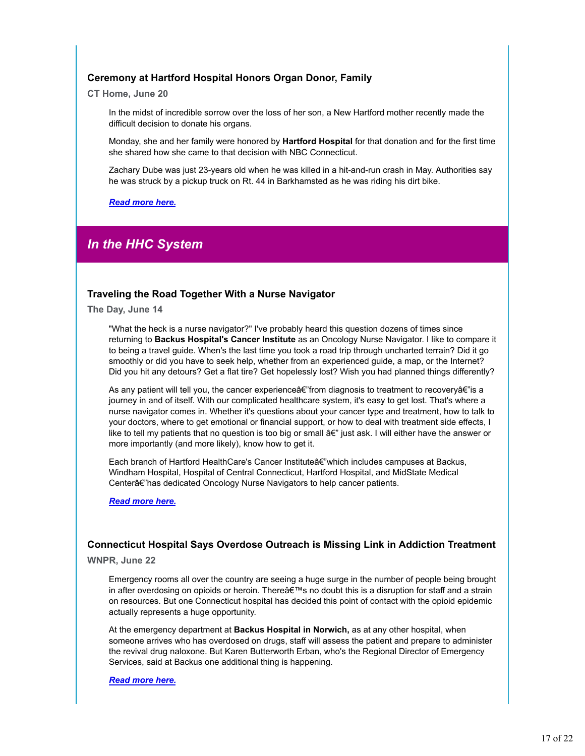# **Ceremony at Hartford Hospital Honors Organ Donor, Family**

**CT Home, June 20**

In the midst of incredible sorrow over the loss of her son, a New Hartford mother recently made the difficult decision to donate his organs.

Monday, she and her family were honored by **Hartford Hospital** for that donation and for the first time she shared how she came to that decision with NBC Connecticut.

Zachary Dube was just 23-years old when he was killed in a hit-and-run crash in May. Authorities say he was struck by a pickup truck on Rt. 44 in Barkhamsted as he was riding his dirt bike.

*Read more here.*

# *In the HHC System*

# **Traveling the Road Together With a Nurse Navigator**

**The Day, June 14**

"What the heck is a nurse navigator?" I've probably heard this question dozens of times since returning to **Backus Hospital's Cancer Institute** as an Oncology Nurse Navigator. I like to compare it to being a travel guide. When's the last time you took a road trip through uncharted terrain? Did it go smoothly or did you have to seek help, whether from an experienced guide, a map, or the Internet? Did you hit any detours? Get a flat tire? Get hopelessly lost? Wish you had planned things differently?

As any patient will tell you, the cancer experienceâ€" from diagnosis to treatment to recoveryâ€" is a journey in and of itself. With our complicated healthcare system, it's easy to get lost. That's where a nurse navigator comes in. Whether it's questions about your cancer type and treatment, how to talk to your doctors, where to get emotional or financial support, or how to deal with treatment side effects, I like to tell my patients that no question is too big or small â€" just ask. I will either have the answer or more importantly (and more likely), know how to get it.

Each branch of Hartford HealthCare's Cancer Instituteâ€"which includes campuses at Backus, Windham Hospital, Hospital of Central Connecticut, Hartford Hospital, and MidState Medical Centerâ€"has dedicated Oncology Nurse Navigators to help cancer patients.

*Read more here.*

## **Connecticut Hospital Says Overdose Outreach is Missing Link in Addiction Treatment**

#### **WNPR, June 22**

Emergency rooms all over the country are seeing a huge surge in the number of people being brought in after overdosing on opioids or heroin. Thereâ€™s no doubt this is a disruption for staff and a strain on resources. But one Connecticut hospital has decided this point of contact with the opioid epidemic actually represents a huge opportunity.

At the emergency department at **Backus Hospital in Norwich,** as at any other hospital, when someone arrives who has overdosed on drugs, staff will assess the patient and prepare to administer the revival drug naloxone. But Karen Butterworth Erban, who's the Regional Director of Emergency Services, said at Backus one additional thing is happening.

#### *Read more here.*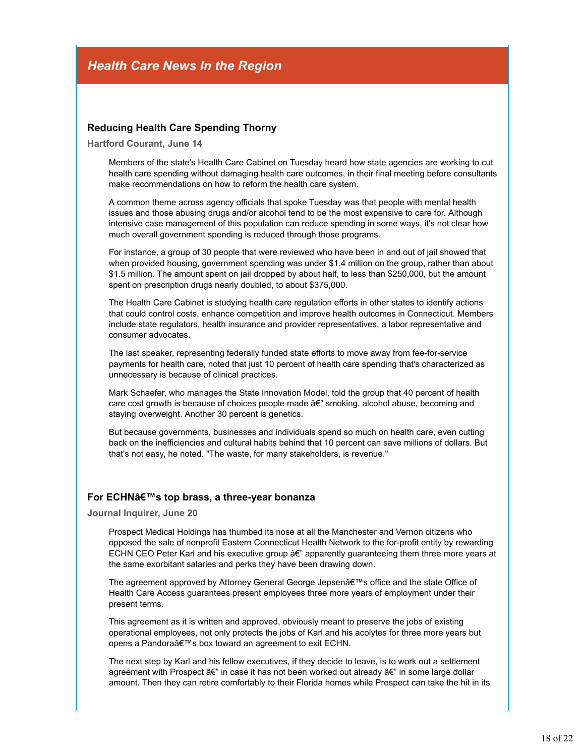# **Reducing Health Care Spending Thorny**

**Hartford Courant, June 14**

Members of the state's Health Care Cabinet on Tuesday heard how state agencies are working to cut health care spending without damaging health care outcomes, in their final meeting before consultants make recommendations on how to reform the health care system.

A common theme across agency officials that spoke Tuesday was that people with mental health issues and those abusing drugs and/or alcohol tend to be the most expensive to care for. Although intensive case management of this population can reduce spending in some ways, it's not clear how much overall government spending is reduced through those programs.

For instance, a group of 30 people that were reviewed who have been in and out of jail showed that when provided housing, government spending was under \$1.4 million on the group, rather than about \$1.5 million. The amount spent on jail dropped by about half, to less than \$250,000, but the amount spent on prescription drugs nearly doubled, to about \$375,000.

The Health Care Cabinet is studying health care regulation efforts in other states to identify actions that could control costs, enhance competition and improve health outcomes in Connecticut. Members include state regulators, health insurance and provider representatives, a labor representative and consumer advocates.

The last speaker, representing federally funded state efforts to move away from fee-for-service payments for health care, noted that just 10 percent of health care spending that's characterized as unnecessary is because of clinical practices.

Mark Schaefer, who manages the State Innovation Model, told the group that 40 percent of health care cost growth is because of choices people made â€" smoking, alcohol abuse, becoming and staying overweight. Another 30 percent is genetics.

But because governments, businesses and individuals spend so much on health care, even cutting back on the inefficiencies and cultural habits behind that 10 percent can save millions of dollars. But that's not easy, he noted. "The waste, for many stakeholders, is revenue."

# **For ECHNâ€™s top brass, a three-year bonanza**

**Journal Inquirer, June 20**

Prospect Medical Holdings has thumbed its nose at all the Manchester and Vernon citizens who opposed the sale of nonprofit Eastern Connecticut Health Network to the for-profit entity by rewarding ECHN CEO Peter Karl and his executive group â€" apparently guaranteeing them three more years at the same exorbitant salaries and perks they have been drawing down.

The agreement approved by Attorney General George Jepsenâ€™s office and the state Office of Health Care Access guarantees present employees three more years of employment under their present terms.

This agreement as it is written and approved, obviously meant to preserve the jobs of existing operational employees, not only protects the jobs of Karl and his acolytes for three more years but opens a Pandoraâ€™s box toward an agreement to exit ECHN.

The next step by Karl and his fellow executives, if they decide to leave, is to work out a settlement agreement with Prospect â€" in case it has not been worked out already â€" in some large dollar amount. Then they can retire comfortably to their Florida homes while Prospect can take the hit in its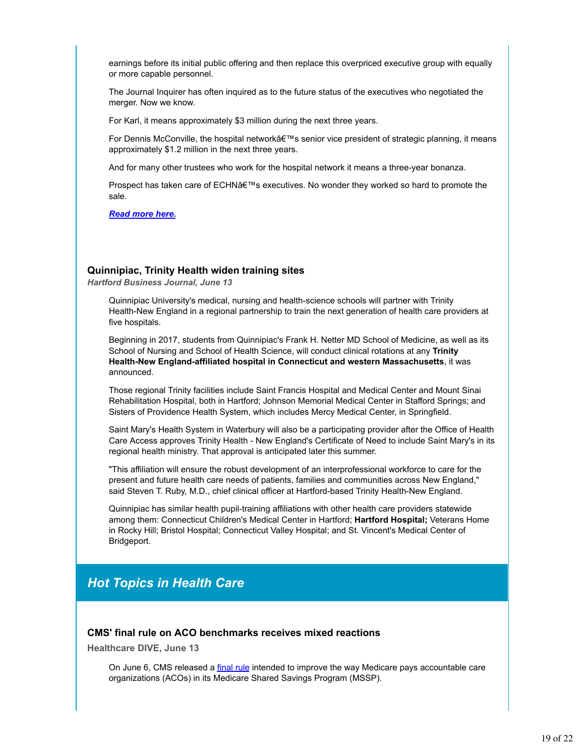earnings before its initial public offering and then replace this overpriced executive group with equally or more capable personnel.

The Journal Inquirer has often inquired as to the future status of the executives who negotiated the merger. Now we know.

For Karl, it means approximately \$3 million during the next three years.

For Dennis McConville, the hospital networkâ€™s senior vice president of strategic planning, it means approximately \$1.2 million in the next three years.

And for many other trustees who work for the hospital network it means a three-year bonanza.

Prospect has taken care of ECHNâ€™s executives. No wonder they worked so hard to promote the sale.

*Read more here.*

# **Quinnipiac, Trinity Health widen training sites**

*Hartford Business Journal, June 13*

Quinnipiac University's medical, nursing and health-science schools will partner with Trinity Health-New England in a regional partnership to train the next generation of health care providers at five hospitals.

Beginning in 2017, students from Quinnipiac's Frank H. Netter MD School of Medicine, as well as its School of Nursing and School of Health Science, will conduct clinical rotations at any **Trinity Health-New England-affiliated hospital in Connecticut and western Massachusetts**, it was announced.

Those regional Trinity facilities include Saint Francis Hospital and Medical Center and Mount Sinai Rehabilitation Hospital, both in Hartford; Johnson Memorial Medical Center in Stafford Springs; and Sisters of Providence Health System, which includes Mercy Medical Center, in Springfield.

Saint Mary's Health System in Waterbury will also be a participating provider after the Office of Health Care Access approves Trinity Health - New England's Certificate of Need to include Saint Mary's in its regional health ministry. That approval is anticipated later this summer.

"This affiliation will ensure the robust development of an interprofessional workforce to care for the present and future health care needs of patients, families and communities across New England," said Steven T. Ruby, M.D., chief clinical officer at Hartford-based Trinity Health-New England.

Quinnipiac has similar health pupil-training affiliations with other health care providers statewide among them: Connecticut Children's Medical Center in Hartford; **Hartford Hospital;** Veterans Home in Rocky Hill; Bristol Hospital; Connecticut Valley Hospital; and St. Vincent's Medical Center of Bridgeport.

# *Hot Topics in Health Care*

#### **CMS' final rule on ACO benchmarks receives mixed reactions**

**Healthcare DIVE, June 13**

On June 6, CMS released a final rule intended to improve the way Medicare pays accountable care organizations (ACOs) in its Medicare Shared Savings Program (MSSP).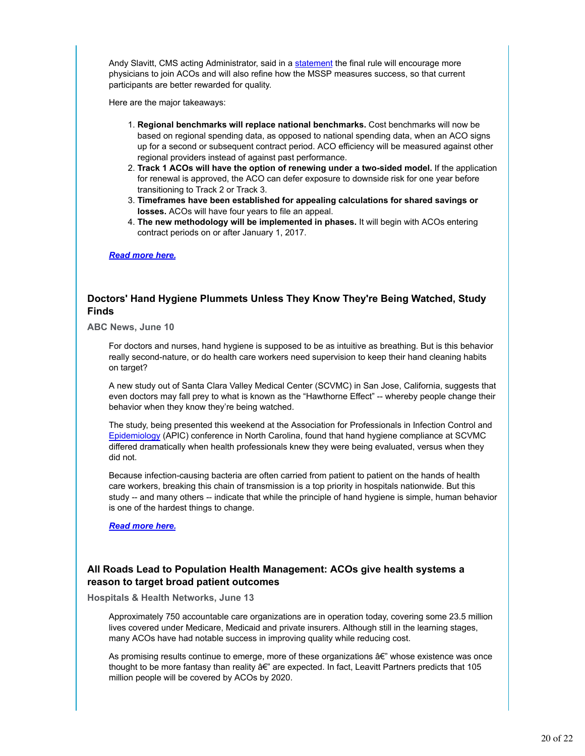Andy Slavitt, CMS acting Administrator, said in a statement the final rule will encourage more physicians to join ACOs and will also refine how the MSSP measures success, so that current participants are better rewarded for quality.

Here are the major takeaways:

- **Regional benchmarks will replace national benchmarks.** Cost benchmarks will now be 1. based on regional spending data, as opposed to national spending data, when an ACO signs up for a second or subsequent contract period. ACO efficiency will be measured against other regional providers instead of against past performance.
- **Track 1 ACOs will have the option of renewing under a two-sided model.** If the application 2. for renewal is approved, the ACO can defer exposure to downside risk for one year before transitioning to Track 2 or Track 3.
- **Timeframes have been established for appealing calculations for shared savings or** 3. **losses.** ACOs will have four years to file an appeal.
- **The new methodology will be implemented in phases.** It will begin with ACOs entering 4. contract periods on or after January 1, 2017.

#### *Read more here.*

# **Doctors' Hand Hygiene Plummets Unless They Know They're Being Watched, Study Finds**

**ABC News, June 10**

For doctors and nurses, hand hygiene is supposed to be as intuitive as breathing. But is this behavior really second-nature, or do health care workers need supervision to keep their hand cleaning habits on target?

A new study out of Santa Clara Valley Medical Center (SCVMC) in San Jose, California, suggests that even doctors may fall prey to what is known as the "Hawthorne Effect" -- whereby people change their behavior when they know they're being watched.

The study, being presented this weekend at the Association for Professionals in Infection Control and Epidemiology (APIC) conference in North Carolina, found that hand hygiene compliance at SCVMC differed dramatically when health professionals knew they were being evaluated, versus when they did not.

Because infection-causing bacteria are often carried from patient to patient on the hands of health care workers, breaking this chain of transmission is a top priority in hospitals nationwide. But this study -- and many others -- indicate that while the principle of hand hygiene is simple, human behavior is one of the hardest things to change.

*Read more here.*

# **All Roads Lead to Population Health Management: ACOs give health systems a reason to target broad patient outcomes**

**Hospitals & Health Networks, June 13**

Approximately 750 accountable care organizations are in operation today, covering some 23.5 million lives covered under Medicare, Medicaid and private insurers. Although still in the learning stages, many ACOs have had notable success in improving quality while reducing cost.

As promising results continue to emerge, more of these organizations â€" whose existence was once thought to be more fantasy than reality â€" are expected. In fact, Leavitt Partners predicts that 105 million people will be covered by ACOs by 2020.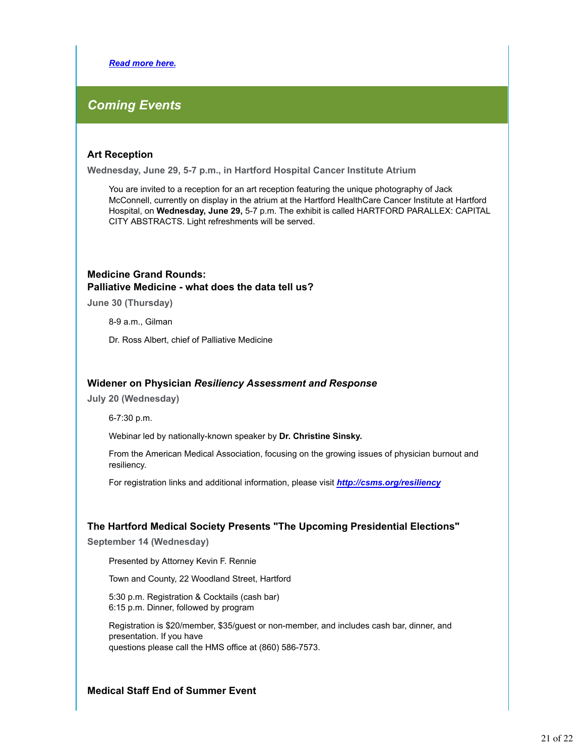*Read more here.*

# *Coming Events*

# **Art Reception**

**Wednesday, June 29, 5-7 p.m., in Hartford Hospital Cancer Institute Atrium**

You are invited to a reception for an art reception featuring the unique photography of Jack McConnell, currently on display in the atrium at the Hartford HealthCare Cancer Institute at Hartford Hospital, on **Wednesday, June 29,** 5-7 p.m. The exhibit is called HARTFORD PARALLEX: CAPITAL CITY ABSTRACTS. Light refreshments will be served.

# **Medicine Grand Rounds: Palliative Medicine - what does the data tell us?**

**June 30 (Thursday)**

8-9 a.m., Gilman

Dr. Ross Albert, chief of Palliative Medicine

# **Widener on Physician** *Resiliency Assessment and Response*

**July 20 (Wednesday)**

6-7:30 p.m.

Webinar led by nationally-known speaker by **Dr. Christine Sinsky.**

From the American Medical Association, focusing on the growing issues of physician burnout and resiliency.

For registration links and additional information, please visit *http://csms.org/resiliency*

# **The Hartford Medical Society Presents "The Upcoming Presidential Elections"**

**September 14 (Wednesday)**

Presented by Attorney Kevin F. Rennie

Town and County, 22 Woodland Street, Hartford

5:30 p.m. Registration & Cocktails (cash bar) 6:15 p.m. Dinner, followed by program

Registration is \$20/member, \$35/guest or non-member, and includes cash bar, dinner, and presentation. If you have questions please call the HMS office at (860) 586-7573.

# **Medical Staff End of Summer Event**